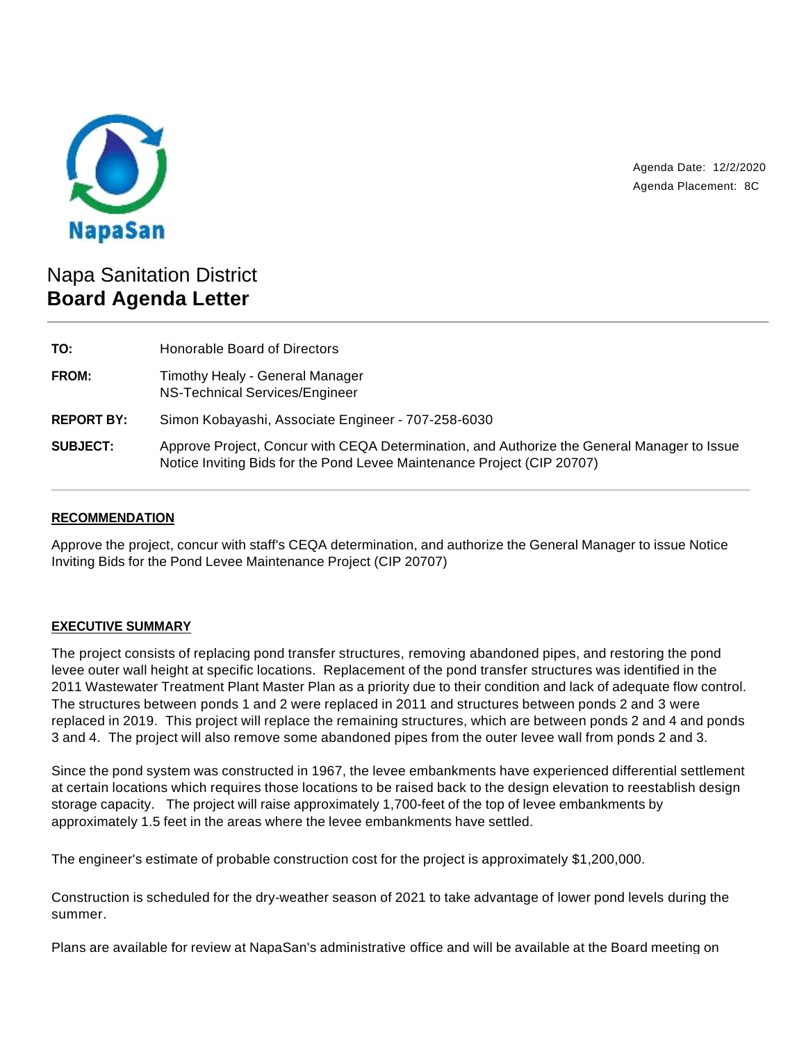

Agenda Date: 12/2/2020 Agenda Placement: 8C

# Napa Sanitation District **Board Agenda Letter**

| TO:               | Honorable Board of Directors                                                                                                                                           |
|-------------------|------------------------------------------------------------------------------------------------------------------------------------------------------------------------|
| FROM:             | Timothy Healy - General Manager<br>NS-Technical Services/Engineer                                                                                                      |
| <b>REPORT BY:</b> | Simon Kobayashi, Associate Engineer - 707-258-6030                                                                                                                     |
| <b>SUBJECT:</b>   | Approve Project, Concur with CEQA Determination, and Authorize the General Manager to Issue<br>Notice Inviting Bids for the Pond Levee Maintenance Project (CIP 20707) |

# **RECOMMENDATION**

Approve the project, concur with staff's CEQA determination, and authorize the General Manager to issue Notice Inviting Bids for the Pond Levee Maintenance Project (CIP 20707)

## **EXECUTIVE SUMMARY**

The project consists of replacing pond transfer structures, removing abandoned pipes, and restoring the pond levee outer wall height at specific locations. Replacement of the pond transfer structures was identified in the 2011 Wastewater Treatment Plant Master Plan as a priority due to their condition and lack of adequate flow control. The structures between ponds 1 and 2 were replaced in 2011 and structures between ponds 2 and 3 were replaced in 2019. This project will replace the remaining structures, which are between ponds 2 and 4 and ponds 3 and 4. The project will also remove some abandoned pipes from the outer levee wall from ponds 2 and 3.

Since the pond system was constructed in 1967, the levee embankments have experienced differential settlement at certain locations which requires those locations to be raised back to the design elevation to reestablish design storage capacity. The project will raise approximately 1,700-feet of the top of levee embankments by approximately 1.5 feet in the areas where the levee embankments have settled.

The engineer's estimate of probable construction cost for the project is approximately \$1,200,000.

Construction is scheduled for the dry-weather season of 2021 to take advantage of lower pond levels during the summer.

Plans are available for review at NapaSan's administrative office and will be available at the Board meeting on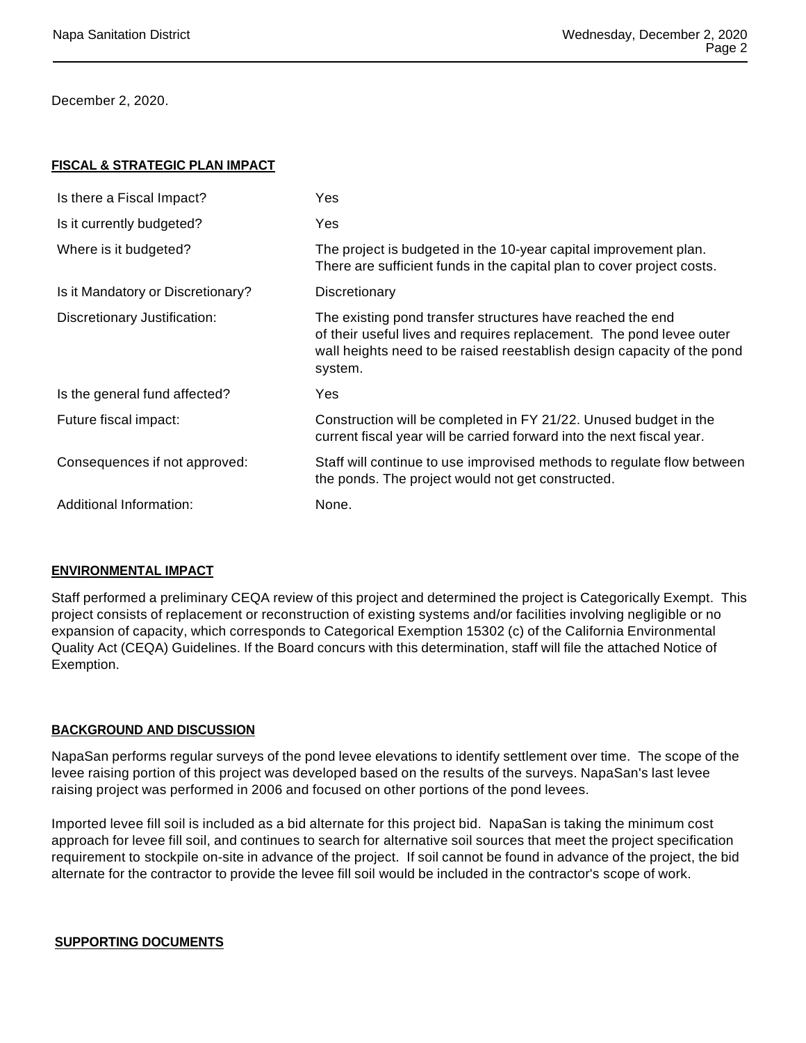December 2, 2020.

#### **FISCAL & STRATEGIC PLAN IMPACT**

| Is there a Fiscal Impact?         | Yes                                                                                                                                                                                                                     |
|-----------------------------------|-------------------------------------------------------------------------------------------------------------------------------------------------------------------------------------------------------------------------|
| Is it currently budgeted?         | Yes                                                                                                                                                                                                                     |
| Where is it budgeted?             | The project is budgeted in the 10-year capital improvement plan.<br>There are sufficient funds in the capital plan to cover project costs.                                                                              |
| Is it Mandatory or Discretionary? | Discretionary                                                                                                                                                                                                           |
| Discretionary Justification:      | The existing pond transfer structures have reached the end<br>of their useful lives and requires replacement. The pond levee outer<br>wall heights need to be raised reestablish design capacity of the pond<br>system. |
| Is the general fund affected?     | Yes.                                                                                                                                                                                                                    |
| Future fiscal impact:             | Construction will be completed in FY 21/22. Unused budget in the<br>current fiscal year will be carried forward into the next fiscal year.                                                                              |
| Consequences if not approved:     | Staff will continue to use improvised methods to regulate flow between<br>the ponds. The project would not get constructed.                                                                                             |
| Additional Information:           | None.                                                                                                                                                                                                                   |
|                                   |                                                                                                                                                                                                                         |

## **ENVIRONMENTAL IMPACT**

Staff performed a preliminary CEQA review of this project and determined the project is Categorically Exempt. This project consists of replacement or reconstruction of existing systems and/or facilities involving negligible or no expansion of capacity, which corresponds to Categorical Exemption 15302 (c) of the California Environmental Quality Act (CEQA) Guidelines. If the Board concurs with this determination, staff will file the attached Notice of Exemption.

## **BACKGROUND AND DISCUSSION**

NapaSan performs regular surveys of the pond levee elevations to identify settlement over time. The scope of the levee raising portion of this project was developed based on the results of the surveys. NapaSan's last levee raising project was performed in 2006 and focused on other portions of the pond levees.

Imported levee fill soil is included as a bid alternate for this project bid. NapaSan is taking the minimum cost approach for levee fill soil, and continues to search for alternative soil sources that meet the project specification requirement to stockpile on-site in advance of the project. If soil cannot be found in advance of the project, the bid alternate for the contractor to provide the levee fill soil would be included in the contractor's scope of work.

#### **SUPPORTING DOCUMENTS**